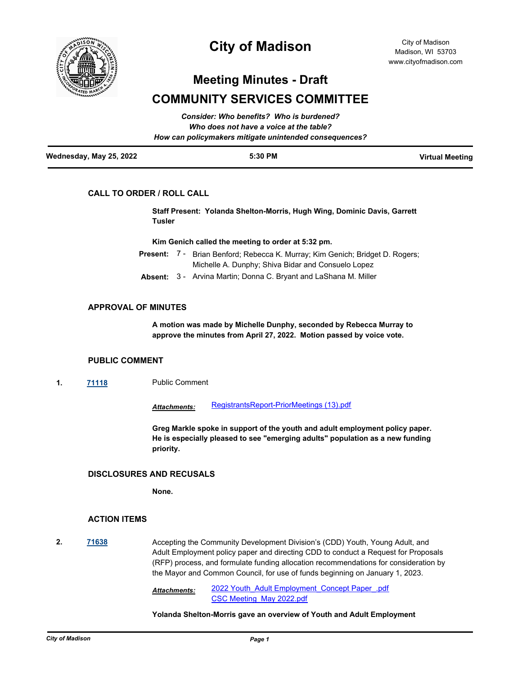

# **City of Madison**

# **Meeting Minutes - Draft**

# **COMMUNITY SERVICES COMMITTEE**

|                         | How can policymakers mitigate unintended consequences? |                        |
|-------------------------|--------------------------------------------------------|------------------------|
| Wednesday, May 25, 2022 | 5:30 PM                                                | <b>Virtual Meeting</b> |

# **CALL TO ORDER / ROLL CALL**

**Staff Present: Yolanda Shelton-Morris, Hugh Wing, Dominic Davis, Garrett Tusler**

**Kim Genich called the meeting to order at 5:32 pm.**

- Present: 7 Brian Benford; Rebecca K. Murray; Kim Genich; Bridget D. Rogers; Michelle A. Dunphy; Shiva Bidar and Consuelo Lopez
- **Absent:** 3 Arvina Martin; Donna C. Bryant and LaShana M. Miller

## **APPROVAL OF MINUTES**

**A motion was made by Michelle Dunphy, seconded by Rebecca Murray to approve the minutes from April 27, 2022. Motion passed by voice vote.**

### **PUBLIC COMMENT**

**1. [71118](http://madison.legistar.com/gateway.aspx?m=l&id=/matter.aspx?key=83069)** Public Comment

*Attachments:* [RegistrantsReport-PriorMeetings \(13\).pdf](http://madison.legistar.com/gateway.aspx?M=F&ID=b3948e34-5dec-4228-a2cb-8d30da850114.pdf)

**Greg Markle spoke in support of the youth and adult employment policy paper. He is especially pleased to see "emerging adults" population as a new funding priority.**

# **DISCLOSURES AND RECUSALS**

**None.**

## **ACTION ITEMS**

**2. [71638](http://madison.legistar.com/gateway.aspx?m=l&id=/matter.aspx?key=83508)** Accepting the Community Development Division's (CDD) Youth, Young Adult, and Adult Employment policy paper and directing CDD to conduct a Request for Proposals (RFP) process, and formulate funding allocation recommendations for consideration by the Mayor and Common Council, for use of funds beginning on January 1, 2023.

> [2022 Youth\\_Adult Employment\\_Concept Paper\\_.pdf](http://madison.legistar.com/gateway.aspx?M=F&ID=c6c09f2f-b4d6-42b8-b718-94b7a8d7bdf1.pdf) [CSC Meeting\\_May 2022.pdf](http://madison.legistar.com/gateway.aspx?M=F&ID=be68de94-4c3c-435b-b43b-82830fbded86.pdf) *Attachments:*

#### **Yolanda Shelton-Morris gave an overview of Youth and Adult Employment**